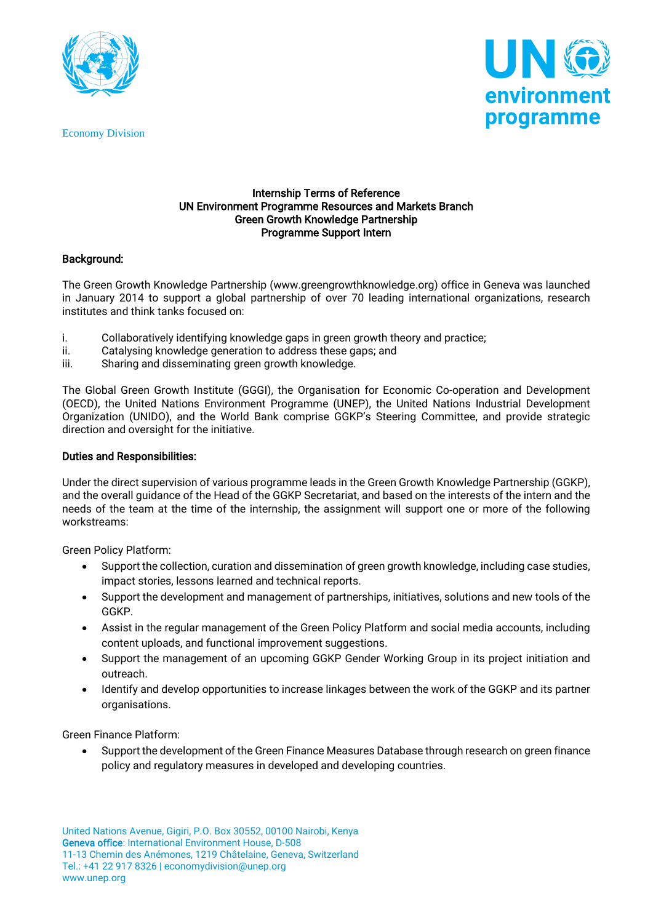

Economy Division



### Internship Terms of Reference UN Environment Programme Resources and Markets Branch Green Growth Knowledge Partnership Programme Support Intern

## Background:

The Green Growth Knowledge Partnership (www.greengrowthknowledge.org) office in Geneva was launched in January 2014 to support a global partnership of over 70 leading international organizations, research institutes and think tanks focused on:

- i. Collaboratively identifying knowledge gaps in green growth theory and practice;
- ii. Catalysing knowledge generation to address these gaps; and
- iii. Sharing and disseminating green growth knowledge.

The Global Green Growth Institute (GGGI), the Organisation for Economic Co-operation and Development (OECD), the United Nations Environment Programme (UNEP), the United Nations Industrial Development Organization (UNIDO), and the World Bank comprise GGKP's Steering Committee, and provide strategic direction and oversight for the initiative.

### Duties and Responsibilities:

Under the direct supervision of various programme leads in the Green Growth Knowledge Partnership (GGKP), and the overall guidance of the Head of the GGKP Secretariat, and based on the interests of the intern and the needs of the team at the time of the internship, the assignment will support one or more of the following workstreams:

Green Policy Platform:

- Support the collection, curation and dissemination of green growth knowledge, including case studies, impact stories, lessons learned and technical reports.
- Support the development and management of partnerships, initiatives, solutions and new tools of the GGKP.
- Assist in the regular management of the Green Policy Platform and social media accounts, including content uploads, and functional improvement suggestions.
- Support the management of an upcoming GGKP Gender Working Group in its project initiation and outreach.
- Identify and develop opportunities to increase linkages between the work of the GGKP and its partner organisations.

Green Finance Platform:

• Support the development of the Green Finance Measures Database through research on green finance policy and regulatory measures in developed and developing countries.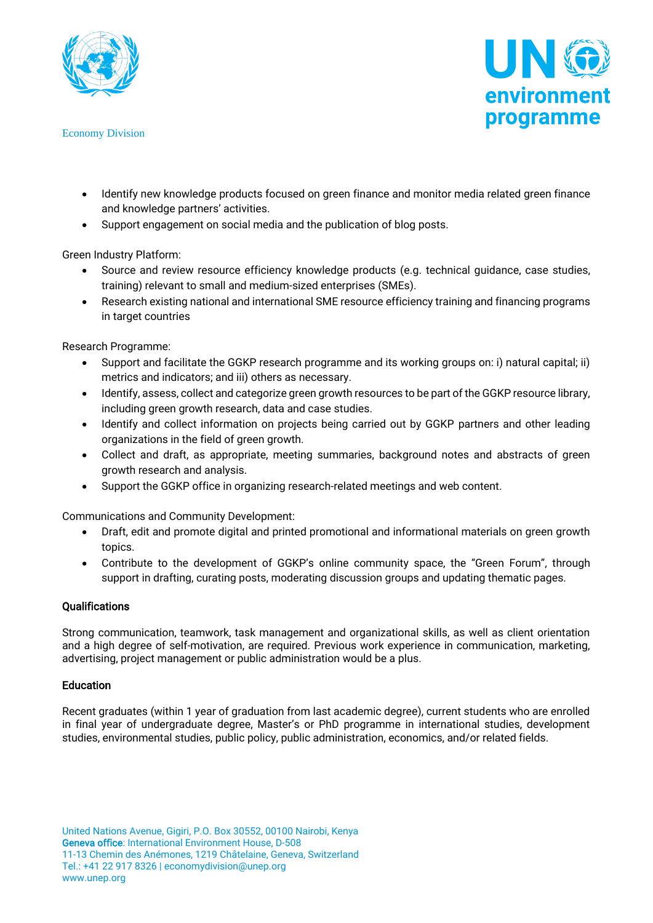

Economy Division



- Identify new knowledge products focused on green finance and monitor media related green finance and knowledge partners' activities.
- Support engagement on social media and the publication of blog posts.

Green Industry Platform:

- Source and review resource efficiency knowledge products (e.g. technical guidance, case studies, training) relevant to small and medium-sized enterprises (SMEs).
- Research existing national and international SME resource efficiency training and financing programs in target countries

Research Programme:

- Support and facilitate the GGKP research programme and its working groups on: i) natural capital; ii) metrics and indicators; and iii) others as necessary.
- Identify, assess, collect and categorize green growth resources to be part of the GGKP resource library, including green growth research, data and case studies.
- Identify and collect information on projects being carried out by GGKP partners and other leading organizations in the field of green growth.
- Collect and draft, as appropriate, meeting summaries, background notes and abstracts of green growth research and analysis.
- Support the GGKP office in organizing research-related meetings and web content.

Communications and Community Development:

- Draft, edit and promote digital and printed promotional and informational materials on green growth topics.
- Contribute to the development of GGKP's online community space, the "Green Forum", through support in drafting, curating posts, moderating discussion groups and updating thematic pages.

# **Qualifications**

Strong communication, teamwork, task management and organizational skills, as well as client orientation and a high degree of self-motivation, are required. Previous work experience in communication, marketing, advertising, project management or public administration would be a plus.

# **Education**

Recent graduates (within 1 year of graduation from last academic degree), current students who are enrolled in final year of undergraduate degree, Master's or PhD programme in international studies, development studies, environmental studies, public policy, public administration, economics, and/or related fields.